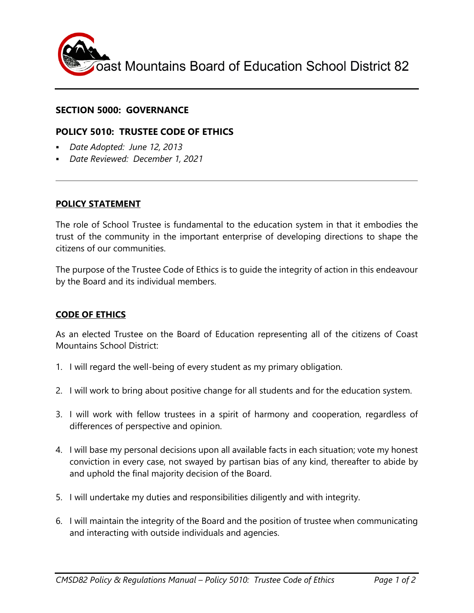

### **SECTION 5000: GOVERNANCE**

# **POLICY 5010: TRUSTEE CODE OF ETHICS**

- *Date Adopted: June 12, 2013*
- *Date Reviewed: December 1, 2021*

#### **POLICY STATEMENT**

The role of School Trustee is fundamental to the education system in that it embodies the trust of the community in the important enterprise of developing directions to shape the citizens of our communities.

The purpose of the Trustee Code of Ethics is to guide the integrity of action in this endeavour by the Board and its individual members.

### **CODE OF ETHICS**

As an elected Trustee on the Board of Education representing all of the citizens of Coast Mountains School District:

- 1. I will regard the well-being of every student as my primary obligation.
- 2. I will work to bring about positive change for all students and for the education system.
- 3. I will work with fellow trustees in a spirit of harmony and cooperation, regardless of differences of perspective and opinion.
- 4. I will base my personal decisions upon all available facts in each situation; vote my honest conviction in every case, not swayed by partisan bias of any kind, thereafter to abide by and uphold the final majority decision of the Board.
- 5. I will undertake my duties and responsibilities diligently and with integrity.
- 6. I will maintain the integrity of the Board and the position of trustee when communicating and interacting with outside individuals and agencies.